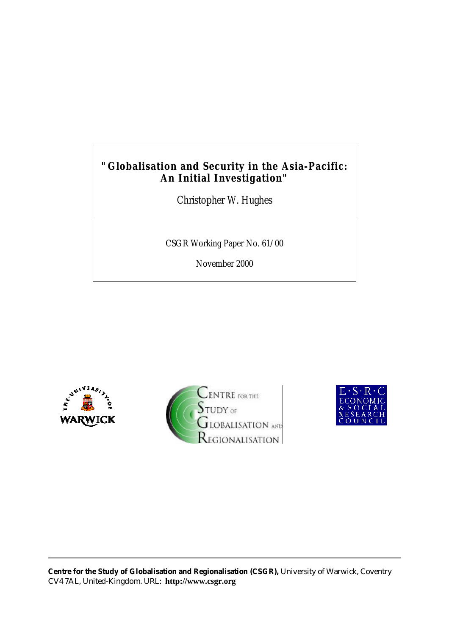## **"Globalisation and Security in the Asia-Pacific: An Initial Investigation"**

Christopher W. Hughes

CSGR Working Paper No. 61/00

November 2000





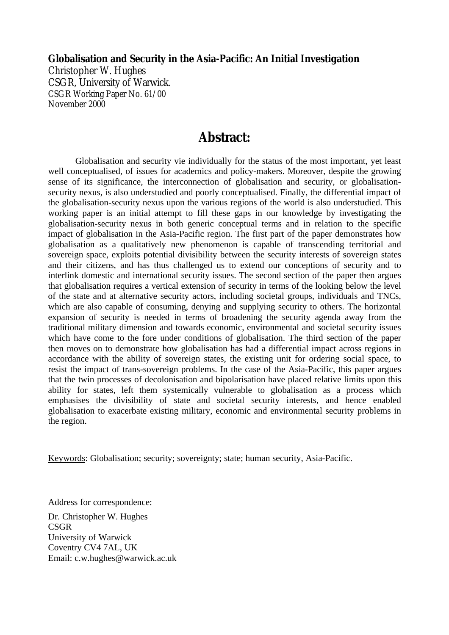## **Globalisation and Security in the Asia-Pacific: An Initial Investigation**

Christopher W. Hughes CSGR, University of Warwick. CSGR Working Paper No. 61/00 November 2000

# **Abstract:**

Globalisation and security vie individually for the status of the most important, yet least well conceptualised, of issues for academics and policy-makers. Moreover, despite the growing sense of its significance, the interconnection of globalisation and security, or globalisationsecurity nexus, is also understudied and poorly conceptualised. Finally, the differential impact of the globalisation-security nexus upon the various regions of the world is also understudied. This working paper is an initial attempt to fill these gaps in our knowledge by investigating the globalisation-security nexus in both generic conceptual terms and in relation to the specific impact of globalisation in the Asia-Pacific region. The first part of the paper demonstrates how globalisation as a qualitatively new phenomenon is capable of transcending territorial and sovereign space, exploits potential divisibility between the security interests of sovereign states and their citizens, and has thus challenged us to extend our conceptions of security and to interlink domestic and international security issues. The second section of the paper then argues that globalisation requires a vertical extension of security in terms of the looking below the level of the state and at alternative security actors, including societal groups, individuals and TNCs, which are also capable of consuming, denying and supplying security to others. The horizontal expansion of security is needed in terms of broadening the security agenda away from the traditional military dimension and towards economic, environmental and societal security issues which have come to the fore under conditions of globalisation. The third section of the paper then moves on to demonstrate how globalisation has had a differential impact across regions in accordance with the ability of sovereign states, the existing unit for ordering social space, to resist the impact of trans-sovereign problems. In the case of the Asia-Pacific, this paper argues that the twin processes of decolonisation and bipolarisation have placed relative limits upon this ability for states, left them systemically vulnerable to globalisation as a process which emphasises the divisibility of state and societal security interests, and hence enabled globalisation to exacerbate existing military, economic and environmental security problems in the region.

Keywords: Globalisation; security; sovereignty; state; human security, Asia-Pacific.

Address for correspondence:

Dr. Christopher W. Hughes **CSGR** University of Warwick Coventry CV4 7AL, UK Email: c.w.hughes@warwick.ac.uk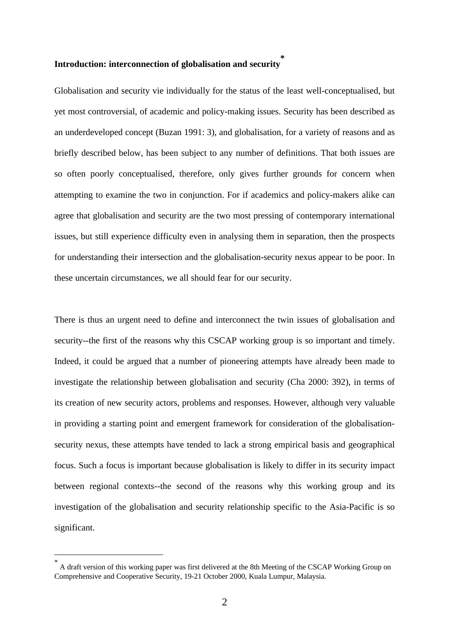# **Introduction: interconnection of globalisation and security \***

Globalisation and security vie individually for the status of the least well-conceptualised, but yet most controversial, of academic and policy-making issues. Security has been described as an underdeveloped concept (Buzan 1991: 3), and globalisation, for a variety of reasons and as briefly described below, has been subject to any number of definitions. That both issues are so often poorly conceptualised, therefore, only gives further grounds for concern when attempting to examine the two in conjunction. For if academics and policy-makers alike can agree that globalisation and security are the two most pressing of contemporary international issues, but still experience difficulty even in analysing them in separation, then the prospects for understanding their intersection and the globalisation-security nexus appear to be poor. In these uncertain circumstances, we all should fear for our security.

There is thus an urgent need to define and interconnect the twin issues of globalisation and security--the first of the reasons why this CSCAP working group is so important and timely. Indeed, it could be argued that a number of pioneering attempts have already been made to investigate the relationship between globalisation and security (Cha 2000: 392), in terms of its creation of new security actors, problems and responses. However, although very valuable in providing a starting point and emergent framework for consideration of the globalisationsecurity nexus, these attempts have tended to lack a strong empirical basis and geographical focus. Such a focus is important because globalisation is likely to differ in its security impact between regional contexts--the second of the reasons why this working group and its investigation of the globalisation and security relationship specific to the Asia-Pacific is so significant.

 $\overline{a}$ 

<sup>\*</sup> A draft version of this working paper was first delivered at the 8th Meeting of the CSCAP Working Group on Comprehensive and Cooperative Security, 19-21 October 2000, Kuala Lumpur, Malaysia.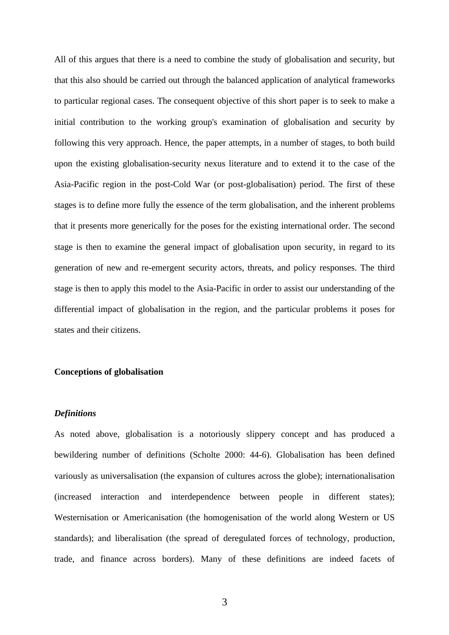All of this argues that there is a need to combine the study of globalisation and security, but that this also should be carried out through the balanced application of analytical frameworks to particular regional cases. The consequent objective of this short paper is to seek to make a initial contribution to the working group's examination of globalisation and security by following this very approach. Hence, the paper attempts, in a number of stages, to both build upon the existing globalisation-security nexus literature and to extend it to the case of the Asia-Pacific region in the post-Cold War (or post-globalisation) period. The first of these stages is to define more fully the essence of the term globalisation, and the inherent problems that it presents more generically for the poses for the existing international order. The second stage is then to examine the general impact of globalisation upon security, in regard to its generation of new and re-emergent security actors, threats, and policy responses. The third stage is then to apply this model to the Asia-Pacific in order to assist our understanding of the differential impact of globalisation in the region, and the particular problems it poses for states and their citizens.

## **Conceptions of globalisation**

#### *Definitions*

As noted above, globalisation is a notoriously slippery concept and has produced a bewildering number of definitions (Scholte 2000: 44-6). Globalisation has been defined variously as universalisation (the expansion of cultures across the globe); internationalisation (increased interaction and interdependence between people in different states); Westernisation or Americanisation (the homogenisation of the world along Western or US standards); and liberalisation (the spread of deregulated forces of technology, production, trade, and finance across borders). Many of these definitions are indeed facets of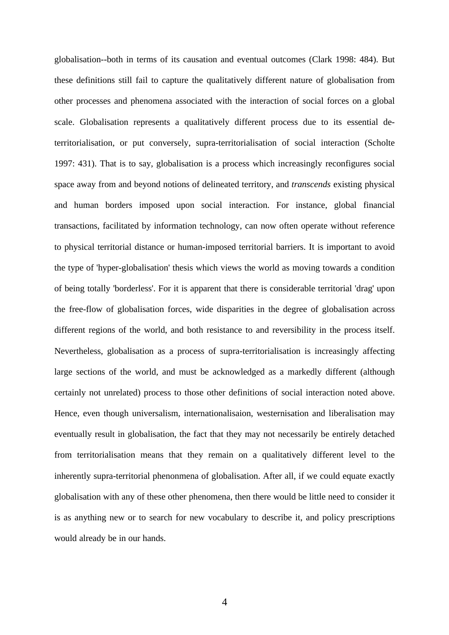globalisation--both in terms of its causation and eventual outcomes (Clark 1998: 484). But these definitions still fail to capture the qualitatively different nature of globalisation from other processes and phenomena associated with the interaction of social forces on a global scale. Globalisation represents a qualitatively different process due to its essential deterritorialisation, or put conversely, supra-territorialisation of social interaction (Scholte 1997: 431). That is to say, globalisation is a process which increasingly reconfigures social space away from and beyond notions of delineated territory, and *transcends* existing physical and human borders imposed upon social interaction. For instance, global financial transactions, facilitated by information technology, can now often operate without reference to physical territorial distance or human-imposed territorial barriers. It is important to avoid the type of 'hyper-globalisation' thesis which views the world as moving towards a condition of being totally 'borderless'. For it is apparent that there is considerable territorial 'drag' upon the free-flow of globalisation forces, wide disparities in the degree of globalisation across different regions of the world, and both resistance to and reversibility in the process itself. Nevertheless, globalisation as a process of supra-territorialisation is increasingly affecting large sections of the world, and must be acknowledged as a markedly different (although certainly not unrelated) process to those other definitions of social interaction noted above. Hence, even though universalism, internationalisaion, westernisation and liberalisation may eventually result in globalisation, the fact that they may not necessarily be entirely detached from territorialisation means that they remain on a qualitatively different level to the inherently supra-territorial phenonmena of globalisation. After all, if we could equate exactly globalisation with any of these other phenomena, then there would be little need to consider it is as anything new or to search for new vocabulary to describe it, and policy prescriptions would already be in our hands.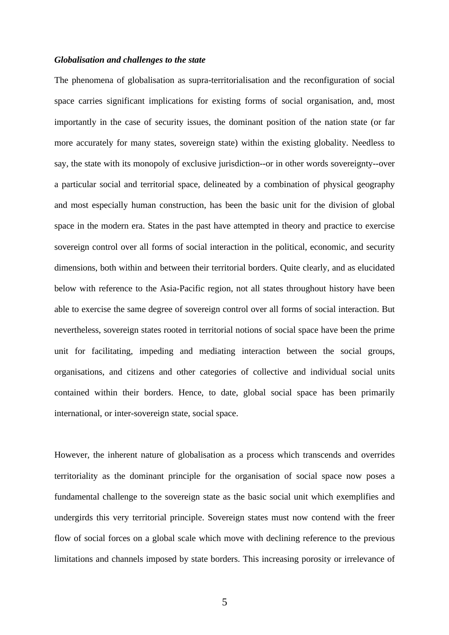#### *Globalisation and challenges to the state*

The phenomena of globalisation as supra-territorialisation and the reconfiguration of social space carries significant implications for existing forms of social organisation, and, most importantly in the case of security issues, the dominant position of the nation state (or far more accurately for many states, sovereign state) within the existing globality. Needless to say, the state with its monopoly of exclusive jurisdiction--or in other words sovereignty--over a particular social and territorial space, delineated by a combination of physical geography and most especially human construction, has been the basic unit for the division of global space in the modern era. States in the past have attempted in theory and practice to exercise sovereign control over all forms of social interaction in the political, economic, and security dimensions, both within and between their territorial borders. Quite clearly, and as elucidated below with reference to the Asia-Pacific region, not all states throughout history have been able to exercise the same degree of sovereign control over all forms of social interaction. But nevertheless, sovereign states rooted in territorial notions of social space have been the prime unit for facilitating, impeding and mediating interaction between the social groups, organisations, and citizens and other categories of collective and individual social units contained within their borders. Hence, to date, global social space has been primarily international, or inter-sovereign state, social space.

However, the inherent nature of globalisation as a process which transcends and overrides territoriality as the dominant principle for the organisation of social space now poses a fundamental challenge to the sovereign state as the basic social unit which exemplifies and undergirds this very territorial principle. Sovereign states must now contend with the freer flow of social forces on a global scale which move with declining reference to the previous limitations and channels imposed by state borders. This increasing porosity or irrelevance of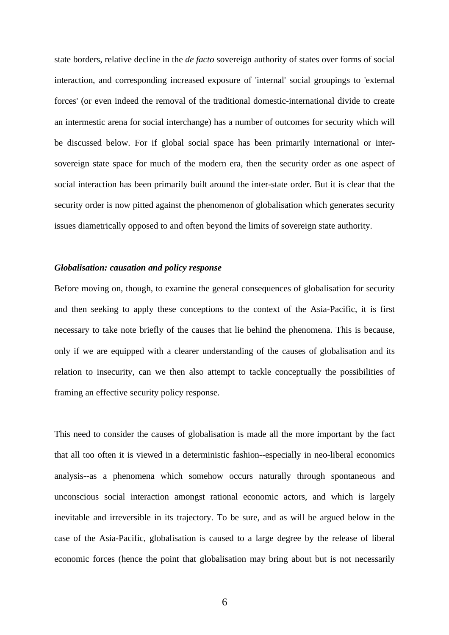state borders, relative decline in the *de facto* sovereign authority of states over forms of social interaction, and corresponding increased exposure of 'internal' social groupings to 'external forces' (or even indeed the removal of the traditional domestic-international divide to create an intermestic arena for social interchange) has a number of outcomes for security which will be discussed below. For if global social space has been primarily international or intersovereign state space for much of the modern era, then the security order as one aspect of social interaction has been primarily built around the inter-state order. But it is clear that the security order is now pitted against the phenomenon of globalisation which generates security issues diametrically opposed to and often beyond the limits of sovereign state authority.

## *Globalisation: causation and policy response*

Before moving on, though, to examine the general consequences of globalisation for security and then seeking to apply these conceptions to the context of the Asia-Pacific, it is first necessary to take note briefly of the causes that lie behind the phenomena. This is because, only if we are equipped with a clearer understanding of the causes of globalisation and its relation to insecurity, can we then also attempt to tackle conceptually the possibilities of framing an effective security policy response.

This need to consider the causes of globalisation is made all the more important by the fact that all too often it is viewed in a deterministic fashion--especially in neo-liberal economics analysis--as a phenomena which somehow occurs naturally through spontaneous and unconscious social interaction amongst rational economic actors, and which is largely inevitable and irreversible in its trajectory. To be sure, and as will be argued below in the case of the Asia-Pacific, globalisation is caused to a large degree by the release of liberal economic forces (hence the point that globalisation may bring about but is not necessarily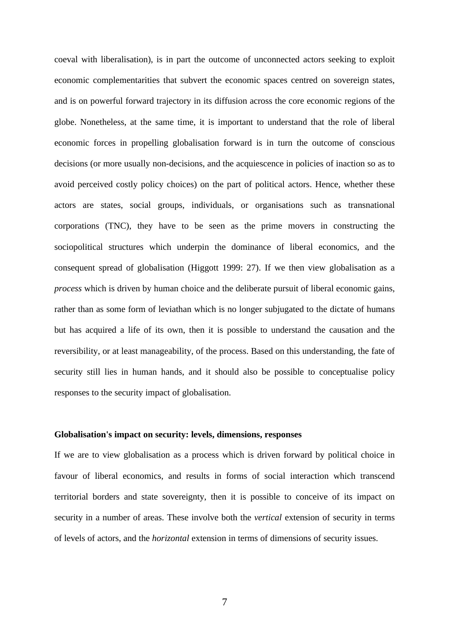coeval with liberalisation), is in part the outcome of unconnected actors seeking to exploit economic complementarities that subvert the economic spaces centred on sovereign states, and is on powerful forward trajectory in its diffusion across the core economic regions of the globe. Nonetheless, at the same time, it is important to understand that the role of liberal economic forces in propelling globalisation forward is in turn the outcome of conscious decisions (or more usually non-decisions, and the acquiescence in policies of inaction so as to avoid perceived costly policy choices) on the part of political actors. Hence, whether these actors are states, social groups, individuals, or organisations such as transnational corporations (TNC), they have to be seen as the prime movers in constructing the sociopolitical structures which underpin the dominance of liberal economics, and the consequent spread of globalisation (Higgott 1999: 27). If we then view globalisation as a *process* which is driven by human choice and the deliberate pursuit of liberal economic gains, rather than as some form of leviathan which is no longer subjugated to the dictate of humans but has acquired a life of its own, then it is possible to understand the causation and the reversibility, or at least manageability, of the process. Based on this understanding, the fate of security still lies in human hands, and it should also be possible to conceptualise policy responses to the security impact of globalisation.

#### **Globalisation's impact on security: levels, dimensions, responses**

If we are to view globalisation as a process which is driven forward by political choice in favour of liberal economics, and results in forms of social interaction which transcend territorial borders and state sovereignty, then it is possible to conceive of its impact on security in a number of areas. These involve both the *vertical* extension of security in terms of levels of actors, and the *horizontal* extension in terms of dimensions of security issues.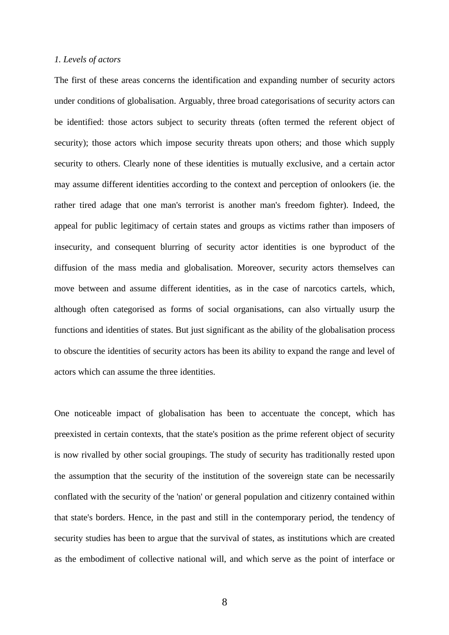#### *1. Levels of actors*

The first of these areas concerns the identification and expanding number of security actors under conditions of globalisation. Arguably, three broad categorisations of security actors can be identified: those actors subject to security threats (often termed the referent object of security); those actors which impose security threats upon others; and those which supply security to others. Clearly none of these identities is mutually exclusive, and a certain actor may assume different identities according to the context and perception of onlookers (ie. the rather tired adage that one man's terrorist is another man's freedom fighter). Indeed, the appeal for public legitimacy of certain states and groups as victims rather than imposers of insecurity, and consequent blurring of security actor identities is one byproduct of the diffusion of the mass media and globalisation. Moreover, security actors themselves can move between and assume different identities, as in the case of narcotics cartels, which, although often categorised as forms of social organisations, can also virtually usurp the functions and identities of states. But just significant as the ability of the globalisation process to obscure the identities of security actors has been its ability to expand the range and level of actors which can assume the three identities.

One noticeable impact of globalisation has been to accentuate the concept, which has preexisted in certain contexts, that the state's position as the prime referent object of security is now rivalled by other social groupings. The study of security has traditionally rested upon the assumption that the security of the institution of the sovereign state can be necessarily conflated with the security of the 'nation' or general population and citizenry contained within that state's borders. Hence, in the past and still in the contemporary period, the tendency of security studies has been to argue that the survival of states, as institutions which are created as the embodiment of collective national will, and which serve as the point of interface or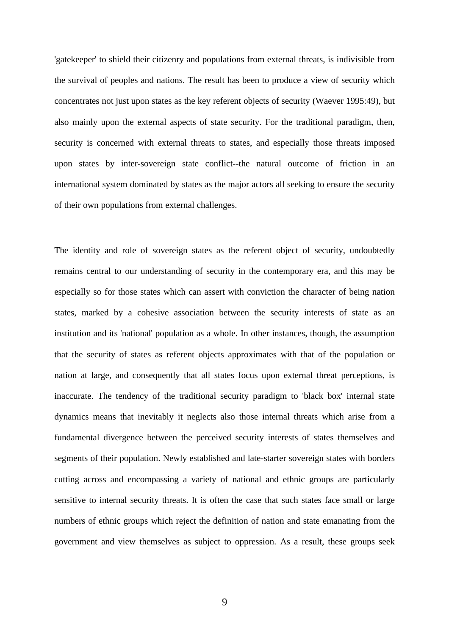'gatekeeper' to shield their citizenry and populations from external threats, is indivisible from the survival of peoples and nations. The result has been to produce a view of security which concentrates not just upon states as the key referent objects of security (Waever 1995:49), but also mainly upon the external aspects of state security. For the traditional paradigm, then, security is concerned with external threats to states, and especially those threats imposed upon states by inter-sovereign state conflict--the natural outcome of friction in an international system dominated by states as the major actors all seeking to ensure the security of their own populations from external challenges.

The identity and role of sovereign states as the referent object of security, undoubtedly remains central to our understanding of security in the contemporary era, and this may be especially so for those states which can assert with conviction the character of being nation states, marked by a cohesive association between the security interests of state as an institution and its 'national' population as a whole. In other instances, though, the assumption that the security of states as referent objects approximates with that of the population or nation at large, and consequently that all states focus upon external threat perceptions, is inaccurate. The tendency of the traditional security paradigm to 'black box' internal state dynamics means that inevitably it neglects also those internal threats which arise from a fundamental divergence between the perceived security interests of states themselves and segments of their population. Newly established and late-starter sovereign states with borders cutting across and encompassing a variety of national and ethnic groups are particularly sensitive to internal security threats. It is often the case that such states face small or large numbers of ethnic groups which reject the definition of nation and state emanating from the government and view themselves as subject to oppression. As a result, these groups seek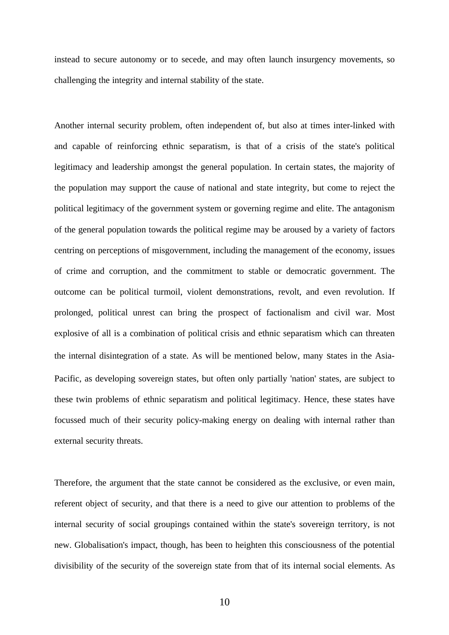instead to secure autonomy or to secede, and may often launch insurgency movements, so challenging the integrity and internal stability of the state.

Another internal security problem, often independent of, but also at times inter-linked with and capable of reinforcing ethnic separatism, is that of a crisis of the state's political legitimacy and leadership amongst the general population. In certain states, the majority of the population may support the cause of national and state integrity, but come to reject the political legitimacy of the government system or governing regime and elite. The antagonism of the general population towards the political regime may be aroused by a variety of factors centring on perceptions of misgovernment, including the management of the economy, issues of crime and corruption, and the commitment to stable or democratic government. The outcome can be political turmoil, violent demonstrations, revolt, and even revolution. If prolonged, political unrest can bring the prospect of factionalism and civil war. Most explosive of all is a combination of political crisis and ethnic separatism which can threaten the internal disintegration of a state. As will be mentioned below, many states in the Asia-Pacific, as developing sovereign states, but often only partially 'nation' states, are subject to these twin problems of ethnic separatism and political legitimacy. Hence, these states have focussed much of their security policy-making energy on dealing with internal rather than external security threats.

Therefore, the argument that the state cannot be considered as the exclusive, or even main, referent object of security, and that there is a need to give our attention to problems of the internal security of social groupings contained within the state's sovereign territory, is not new. Globalisation's impact, though, has been to heighten this consciousness of the potential divisibility of the security of the sovereign state from that of its internal social elements. As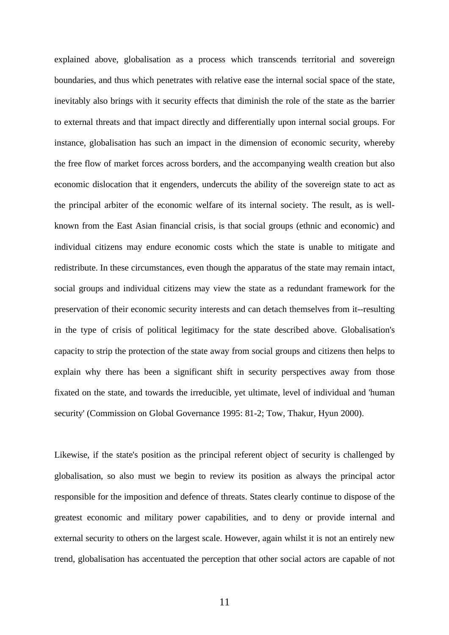explained above, globalisation as a process which transcends territorial and sovereign boundaries, and thus which penetrates with relative ease the internal social space of the state, inevitably also brings with it security effects that diminish the role of the state as the barrier to external threats and that impact directly and differentially upon internal social groups. For instance, globalisation has such an impact in the dimension of economic security, whereby the free flow of market forces across borders, and the accompanying wealth creation but also economic dislocation that it engenders, undercuts the ability of the sovereign state to act as the principal arbiter of the economic welfare of its internal society. The result, as is wellknown from the East Asian financial crisis, is that social groups (ethnic and economic) and individual citizens may endure economic costs which the state is unable to mitigate and redistribute. In these circumstances, even though the apparatus of the state may remain intact, social groups and individual citizens may view the state as a redundant framework for the preservation of their economic security interests and can detach themselves from it--resulting in the type of crisis of political legitimacy for the state described above. Globalisation's capacity to strip the protection of the state away from social groups and citizens then helps to explain why there has been a significant shift in security perspectives away from those fixated on the state, and towards the irreducible, yet ultimate, level of individual and 'human security' (Commission on Global Governance 1995: 81-2; Tow, Thakur, Hyun 2000).

Likewise, if the state's position as the principal referent object of security is challenged by globalisation, so also must we begin to review its position as always the principal actor responsible for the imposition and defence of threats. States clearly continue to dispose of the greatest economic and military power capabilities, and to deny or provide internal and external security to others on the largest scale. However, again whilst it is not an entirely new trend, globalisation has accentuated the perception that other social actors are capable of not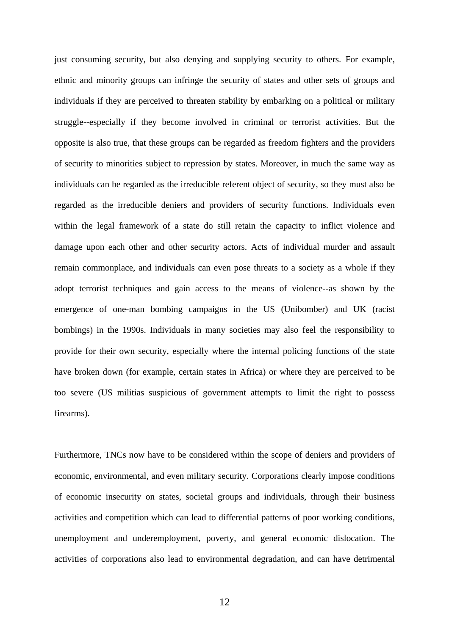just consuming security, but also denying and supplying security to others. For example, ethnic and minority groups can infringe the security of states and other sets of groups and individuals if they are perceived to threaten stability by embarking on a political or military struggle--especially if they become involved in criminal or terrorist activities. But the opposite is also true, that these groups can be regarded as freedom fighters and the providers of security to minorities subject to repression by states. Moreover, in much the same way as individuals can be regarded as the irreducible referent object of security, so they must also be regarded as the irreducible deniers and providers of security functions. Individuals even within the legal framework of a state do still retain the capacity to inflict violence and damage upon each other and other security actors. Acts of individual murder and assault remain commonplace, and individuals can even pose threats to a society as a whole if they adopt terrorist techniques and gain access to the means of violence--as shown by the emergence of one-man bombing campaigns in the US (Unibomber) and UK (racist bombings) in the 1990s. Individuals in many societies may also feel the responsibility to provide for their own security, especially where the internal policing functions of the state have broken down (for example, certain states in Africa) or where they are perceived to be too severe (US militias suspicious of government attempts to limit the right to possess firearms).

Furthermore, TNCs now have to be considered within the scope of deniers and providers of economic, environmental, and even military security. Corporations clearly impose conditions of economic insecurity on states, societal groups and individuals, through their business activities and competition which can lead to differential patterns of poor working conditions, unemployment and underemployment, poverty, and general economic dislocation. The activities of corporations also lead to environmental degradation, and can have detrimental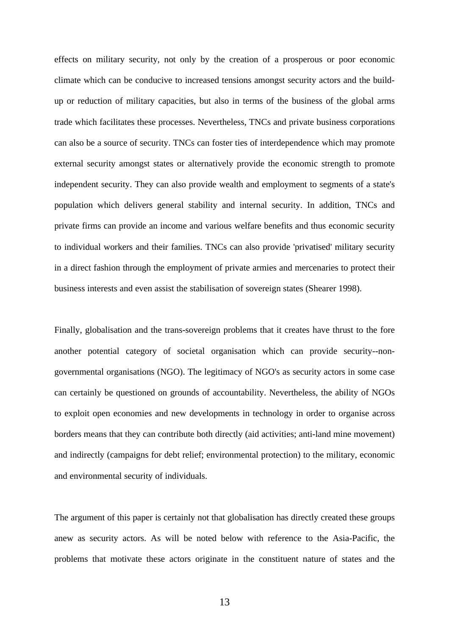effects on military security, not only by the creation of a prosperous or poor economic climate which can be conducive to increased tensions amongst security actors and the buildup or reduction of military capacities, but also in terms of the business of the global arms trade which facilitates these processes. Nevertheless, TNCs and private business corporations can also be a source of security. TNCs can foster ties of interdependence which may promote external security amongst states or alternatively provide the economic strength to promote independent security. They can also provide wealth and employment to segments of a state's population which delivers general stability and internal security. In addition, TNCs and private firms can provide an income and various welfare benefits and thus economic security to individual workers and their families. TNCs can also provide 'privatised' military security in a direct fashion through the employment of private armies and mercenaries to protect their business interests and even assist the stabilisation of sovereign states (Shearer 1998).

Finally, globalisation and the trans-sovereign problems that it creates have thrust to the fore another potential category of societal organisation which can provide security--nongovernmental organisations (NGO). The legitimacy of NGO's as security actors in some case can certainly be questioned on grounds of accountability. Nevertheless, the ability of NGOs to exploit open economies and new developments in technology in order to organise across borders means that they can contribute both directly (aid activities; anti-land mine movement) and indirectly (campaigns for debt relief; environmental protection) to the military, economic and environmental security of individuals.

The argument of this paper is certainly not that globalisation has directly created these groups anew as security actors. As will be noted below with reference to the Asia-Pacific, the problems that motivate these actors originate in the constituent nature of states and the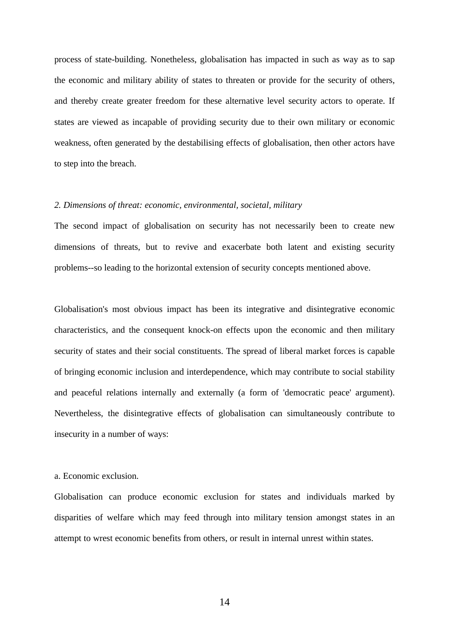process of state-building. Nonetheless, globalisation has impacted in such as way as to sap the economic and military ability of states to threaten or provide for the security of others, and thereby create greater freedom for these alternative level security actors to operate. If states are viewed as incapable of providing security due to their own military or economic weakness, often generated by the destabilising effects of globalisation, then other actors have to step into the breach.

#### *2. Dimensions of threat: economic, environmental, societal, military*

The second impact of globalisation on security has not necessarily been to create new dimensions of threats, but to revive and exacerbate both latent and existing security problems--so leading to the horizontal extension of security concepts mentioned above.

Globalisation's most obvious impact has been its integrative and disintegrative economic characteristics, and the consequent knock-on effects upon the economic and then military security of states and their social constituents. The spread of liberal market forces is capable of bringing economic inclusion and interdependence, which may contribute to social stability and peaceful relations internally and externally (a form of 'democratic peace' argument). Nevertheless, the disintegrative effects of globalisation can simultaneously contribute to insecurity in a number of ways:

#### a. Economic exclusion.

Globalisation can produce economic exclusion for states and individuals marked by disparities of welfare which may feed through into military tension amongst states in an attempt to wrest economic benefits from others, or result in internal unrest within states.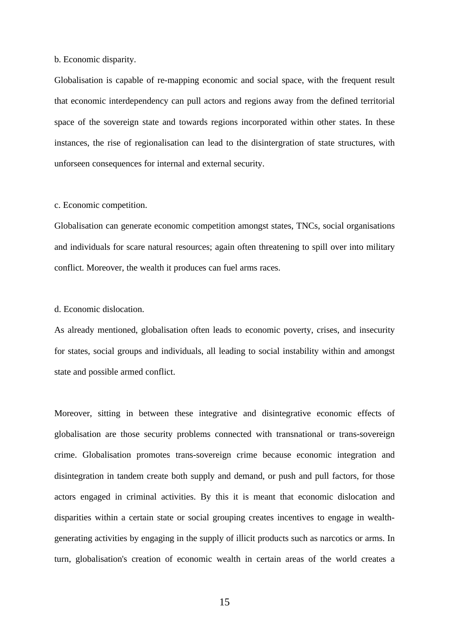#### b. Economic disparity.

Globalisation is capable of re-mapping economic and social space, with the frequent result that economic interdependency can pull actors and regions away from the defined territorial space of the sovereign state and towards regions incorporated within other states. In these instances, the rise of regionalisation can lead to the disintergration of state structures, with unforseen consequences for internal and external security.

#### c. Economic competition.

Globalisation can generate economic competition amongst states, TNCs, social organisations and individuals for scare natural resources; again often threatening to spill over into military conflict. Moreover, the wealth it produces can fuel arms races.

## d. Economic dislocation.

As already mentioned, globalisation often leads to economic poverty, crises, and insecurity for states, social groups and individuals, all leading to social instability within and amongst state and possible armed conflict.

Moreover, sitting in between these integrative and disintegrative economic effects of globalisation are those security problems connected with transnational or trans-sovereign crime. Globalisation promotes trans-sovereign crime because economic integration and disintegration in tandem create both supply and demand, or push and pull factors, for those actors engaged in criminal activities. By this it is meant that economic dislocation and disparities within a certain state or social grouping creates incentives to engage in wealthgenerating activities by engaging in the supply of illicit products such as narcotics or arms. In turn, globalisation's creation of economic wealth in certain areas of the world creates a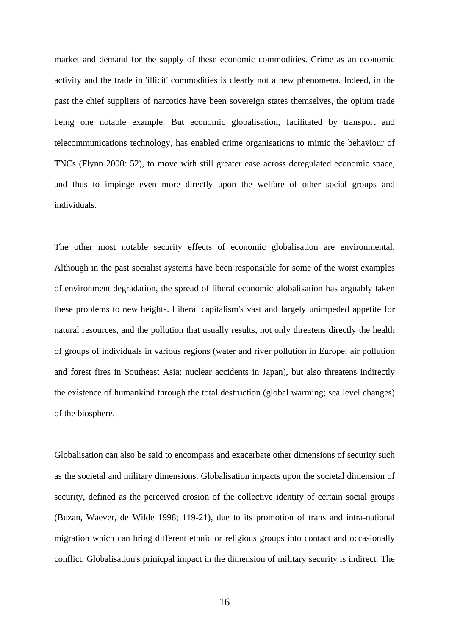market and demand for the supply of these economic commodities. Crime as an economic activity and the trade in 'illicit' commodities is clearly not a new phenomena. Indeed, in the past the chief suppliers of narcotics have been sovereign states themselves, the opium trade being one notable example. But economic globalisation, facilitated by transport and telecommunications technology, has enabled crime organisations to mimic the behaviour of TNCs (Flynn 2000: 52), to move with still greater ease across deregulated economic space, and thus to impinge even more directly upon the welfare of other social groups and individuals.

The other most notable security effects of economic globalisation are environmental. Although in the past socialist systems have been responsible for some of the worst examples of environment degradation, the spread of liberal economic globalisation has arguably taken these problems to new heights. Liberal capitalism's vast and largely unimpeded appetite for natural resources, and the pollution that usually results, not only threatens directly the health of groups of individuals in various regions (water and river pollution in Europe; air pollution and forest fires in Southeast Asia; nuclear accidents in Japan), but also threatens indirectly the existence of humankind through the total destruction (global warming; sea level changes) of the biosphere.

Globalisation can also be said to encompass and exacerbate other dimensions of security such as the societal and military dimensions. Globalisation impacts upon the societal dimension of security, defined as the perceived erosion of the collective identity of certain social groups (Buzan, Waever, de Wilde 1998; 119-21), due to its promotion of trans and intra-national migration which can bring different ethnic or religious groups into contact and occasionally conflict. Globalisation's prinicpal impact in the dimension of military security is indirect. The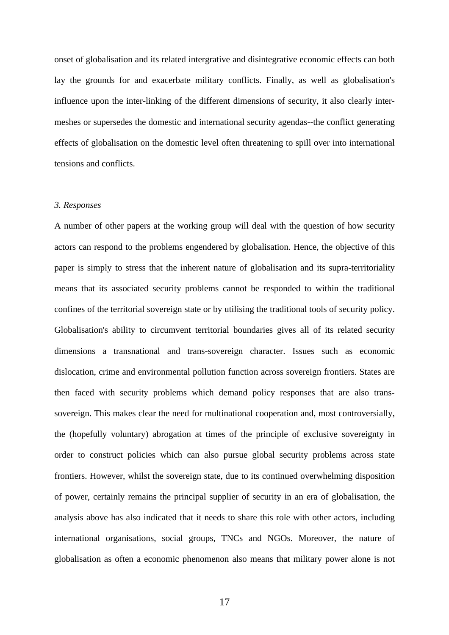onset of globalisation and its related intergrative and disintegrative economic effects can both lay the grounds for and exacerbate military conflicts. Finally, as well as globalisation's influence upon the inter-linking of the different dimensions of security, it also clearly intermeshes or supersedes the domestic and international security agendas--the conflict generating effects of globalisation on the domestic level often threatening to spill over into international tensions and conflicts.

#### *3. Responses*

A number of other papers at the working group will deal with the question of how security actors can respond to the problems engendered by globalisation. Hence, the objective of this paper is simply to stress that the inherent nature of globalisation and its supra-territoriality means that its associated security problems cannot be responded to within the traditional confines of the territorial sovereign state or by utilising the traditional tools of security policy. Globalisation's ability to circumvent territorial boundaries gives all of its related security dimensions a transnational and trans-sovereign character. Issues such as economic dislocation, crime and environmental pollution function across sovereign frontiers. States are then faced with security problems which demand policy responses that are also transsovereign. This makes clear the need for multinational cooperation and, most controversially, the (hopefully voluntary) abrogation at times of the principle of exclusive sovereignty in order to construct policies which can also pursue global security problems across state frontiers. However, whilst the sovereign state, due to its continued overwhelming disposition of power, certainly remains the principal supplier of security in an era of globalisation, the analysis above has also indicated that it needs to share this role with other actors, including international organisations, social groups, TNCs and NGOs. Moreover, the nature of globalisation as often a economic phenomenon also means that military power alone is not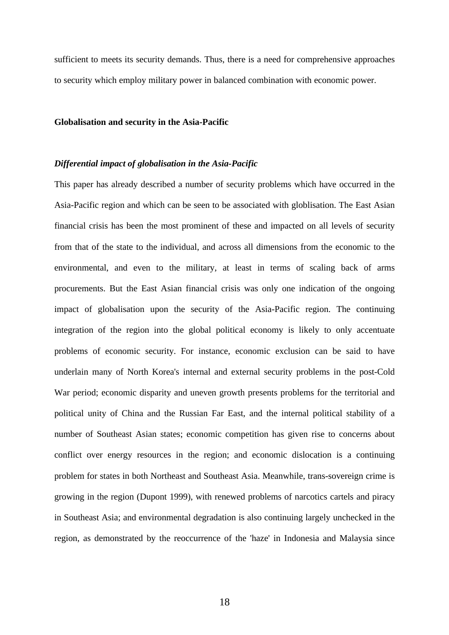sufficient to meets its security demands. Thus, there is a need for comprehensive approaches to security which employ military power in balanced combination with economic power.

#### **Globalisation and security in the Asia-Pacific**

### *Differential impact of globalisation in the Asia-Pacific*

This paper has already described a number of security problems which have occurred in the Asia-Pacific region and which can be seen to be associated with globlisation. The East Asian financial crisis has been the most prominent of these and impacted on all levels of security from that of the state to the individual, and across all dimensions from the economic to the environmental, and even to the military, at least in terms of scaling back of arms procurements. But the East Asian financial crisis was only one indication of the ongoing impact of globalisation upon the security of the Asia-Pacific region. The continuing integration of the region into the global political economy is likely to only accentuate problems of economic security. For instance, economic exclusion can be said to have underlain many of North Korea's internal and external security problems in the post-Cold War period; economic disparity and uneven growth presents problems for the territorial and political unity of China and the Russian Far East, and the internal political stability of a number of Southeast Asian states; economic competition has given rise to concerns about conflict over energy resources in the region; and economic dislocation is a continuing problem for states in both Northeast and Southeast Asia. Meanwhile, trans-sovereign crime is growing in the region (Dupont 1999), with renewed problems of narcotics cartels and piracy in Southeast Asia; and environmental degradation is also continuing largely unchecked in the region, as demonstrated by the reoccurrence of the 'haze' in Indonesia and Malaysia since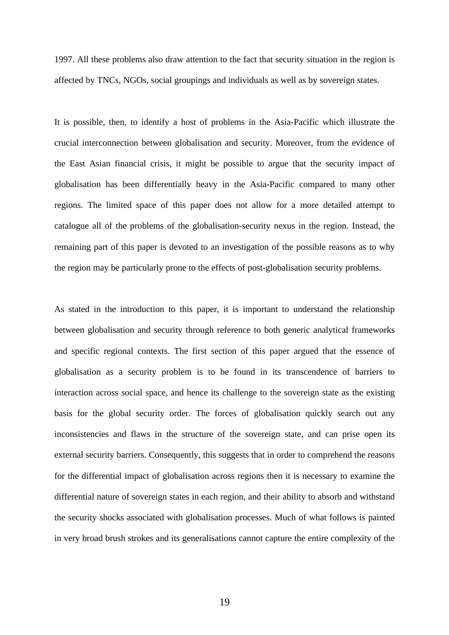1997. All these problems also draw attention to the fact that security situation in the region is affected by TNCs, NGOs, social groupings and individuals as well as by sovereign states.

It is possible, then, to identify a host of problems in the Asia-Pacific which illustrate the crucial interconnection between globalisation and security. Moreover, from the evidence of the East Asian financial crisis, it might be possible to argue that the security impact of globalisation has been differentially heavy in the Asia-Pacific compared to many other regions. The limited space of this paper does not allow for a more detailed attempt to catalogue all of the problems of the globalisation-security nexus in the region. Instead, the remaining part of this paper is devoted to an investigation of the possible reasons as to why the region may be particularly prone to the effects of post-globalisation security problems.

As stated in the introduction to this paper, it is important to understand the relationship between globalisation and security through reference to both generic analytical frameworks and specific regional contexts. The first section of this paper argued that the essence of globalisation as a security problem is to be found in its transcendence of barriers to interaction across social space, and hence its challenge to the sovereign state as the existing basis for the global security order. The forces of globalisation quickly search out any inconsistencies and flaws in the structure of the sovereign state, and can prise open its external security barriers. Consequently, this suggests that in order to comprehend the reasons for the differential impact of globalisation across regions then it is necessary to examine the differential nature of sovereign states in each region, and their ability to absorb and withstand the security shocks associated with globalisation processes. Much of what follows is painted in very broad brush strokes and its generalisations cannot capture the entire complexity of the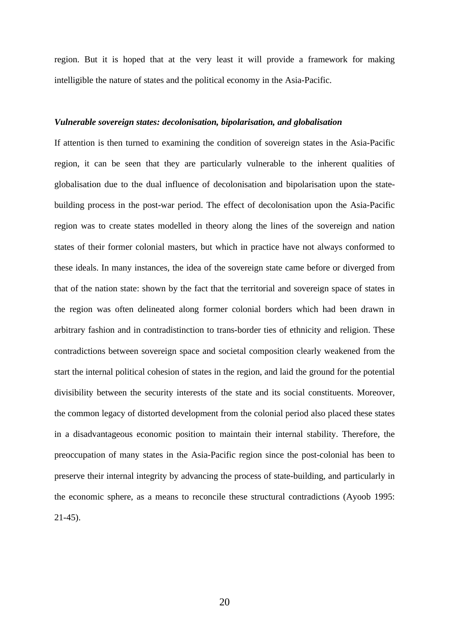region. But it is hoped that at the very least it will provide a framework for making intelligible the nature of states and the political economy in the Asia-Pacific.

#### *Vulnerable sovereign states: decolonisation, bipolarisation, and globalisation*

If attention is then turned to examining the condition of sovereign states in the Asia-Pacific region, it can be seen that they are particularly vulnerable to the inherent qualities of globalisation due to the dual influence of decolonisation and bipolarisation upon the statebuilding process in the post-war period. The effect of decolonisation upon the Asia-Pacific region was to create states modelled in theory along the lines of the sovereign and nation states of their former colonial masters, but which in practice have not always conformed to these ideals. In many instances, the idea of the sovereign state came before or diverged from that of the nation state: shown by the fact that the territorial and sovereign space of states in the region was often delineated along former colonial borders which had been drawn in arbitrary fashion and in contradistinction to trans-border ties of ethnicity and religion. These contradictions between sovereign space and societal composition clearly weakened from the start the internal political cohesion of states in the region, and laid the ground for the potential divisibility between the security interests of the state and its social constituents. Moreover, the common legacy of distorted development from the colonial period also placed these states in a disadvantageous economic position to maintain their internal stability. Therefore, the preoccupation of many states in the Asia-Pacific region since the post-colonial has been to preserve their internal integrity by advancing the process of state-building, and particularly in the economic sphere, as a means to reconcile these structural contradictions (Ayoob 1995: 21-45).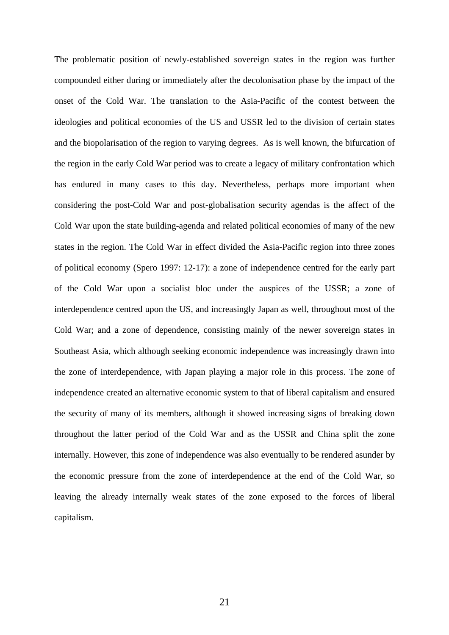The problematic position of newly-established sovereign states in the region was further compounded either during or immediately after the decolonisation phase by the impact of the onset of the Cold War. The translation to the Asia-Pacific of the contest between the ideologies and political economies of the US and USSR led to the division of certain states and the biopolarisation of the region to varying degrees. As is well known, the bifurcation of the region in the early Cold War period was to create a legacy of military confrontation which has endured in many cases to this day. Nevertheless, perhaps more important when considering the post-Cold War and post-globalisation security agendas is the affect of the Cold War upon the state building-agenda and related political economies of many of the new states in the region. The Cold War in effect divided the Asia-Pacific region into three zones of political economy (Spero 1997: 12-17): a zone of independence centred for the early part of the Cold War upon a socialist bloc under the auspices of the USSR; a zone of interdependence centred upon the US, and increasingly Japan as well, throughout most of the Cold War; and a zone of dependence, consisting mainly of the newer sovereign states in Southeast Asia, which although seeking economic independence was increasingly drawn into the zone of interdependence, with Japan playing a major role in this process. The zone of independence created an alternative economic system to that of liberal capitalism and ensured the security of many of its members, although it showed increasing signs of breaking down throughout the latter period of the Cold War and as the USSR and China split the zone internally. However, this zone of independence was also eventually to be rendered asunder by the economic pressure from the zone of interdependence at the end of the Cold War, so leaving the already internally weak states of the zone exposed to the forces of liberal capitalism.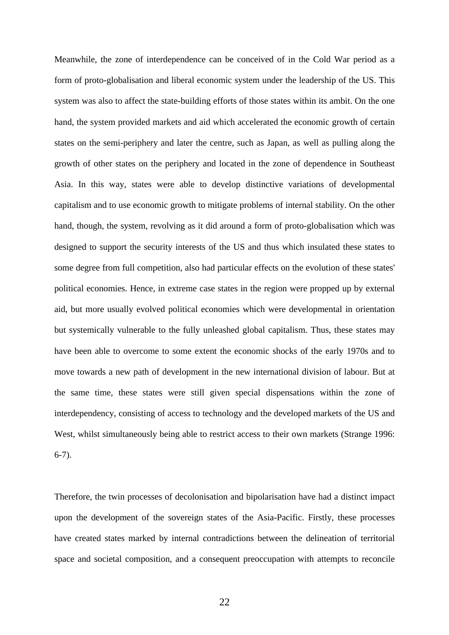Meanwhile, the zone of interdependence can be conceived of in the Cold War period as a form of proto-globalisation and liberal economic system under the leadership of the US. This system was also to affect the state-building efforts of those states within its ambit. On the one hand, the system provided markets and aid which accelerated the economic growth of certain states on the semi-periphery and later the centre, such as Japan, as well as pulling along the growth of other states on the periphery and located in the zone of dependence in Southeast Asia. In this way, states were able to develop distinctive variations of developmental capitalism and to use economic growth to mitigate problems of internal stability. On the other hand, though, the system, revolving as it did around a form of proto-globalisation which was designed to support the security interests of the US and thus which insulated these states to some degree from full competition, also had particular effects on the evolution of these states' political economies. Hence, in extreme case states in the region were propped up by external aid, but more usually evolved political economies which were developmental in orientation but systemically vulnerable to the fully unleashed global capitalism. Thus, these states may have been able to overcome to some extent the economic shocks of the early 1970s and to move towards a new path of development in the new international division of labour. But at the same time, these states were still given special dispensations within the zone of interdependency, consisting of access to technology and the developed markets of the US and West, whilst simultaneously being able to restrict access to their own markets (Strange 1996: 6-7).

Therefore, the twin processes of decolonisation and bipolarisation have had a distinct impact upon the development of the sovereign states of the Asia-Pacific. Firstly, these processes have created states marked by internal contradictions between the delineation of territorial space and societal composition, and a consequent preoccupation with attempts to reconcile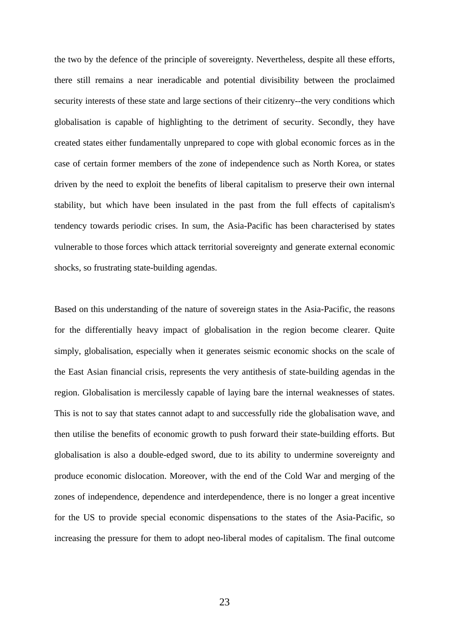the two by the defence of the principle of sovereignty. Nevertheless, despite all these efforts, there still remains a near ineradicable and potential divisibility between the proclaimed security interests of these state and large sections of their citizenry--the very conditions which globalisation is capable of highlighting to the detriment of security. Secondly, they have created states either fundamentally unprepared to cope with global economic forces as in the case of certain former members of the zone of independence such as North Korea, or states driven by the need to exploit the benefits of liberal capitalism to preserve their own internal stability, but which have been insulated in the past from the full effects of capitalism's tendency towards periodic crises. In sum, the Asia-Pacific has been characterised by states vulnerable to those forces which attack territorial sovereignty and generate external economic shocks, so frustrating state-building agendas.

Based on this understanding of the nature of sovereign states in the Asia-Pacific, the reasons for the differentially heavy impact of globalisation in the region become clearer. Quite simply, globalisation, especially when it generates seismic economic shocks on the scale of the East Asian financial crisis, represents the very antithesis of state-building agendas in the region. Globalisation is mercilessly capable of laying bare the internal weaknesses of states. This is not to say that states cannot adapt to and successfully ride the globalisation wave, and then utilise the benefits of economic growth to push forward their state-building efforts. But globalisation is also a double-edged sword, due to its ability to undermine sovereignty and produce economic dislocation. Moreover, with the end of the Cold War and merging of the zones of independence, dependence and interdependence, there is no longer a great incentive for the US to provide special economic dispensations to the states of the Asia-Pacific, so increasing the pressure for them to adopt neo-liberal modes of capitalism. The final outcome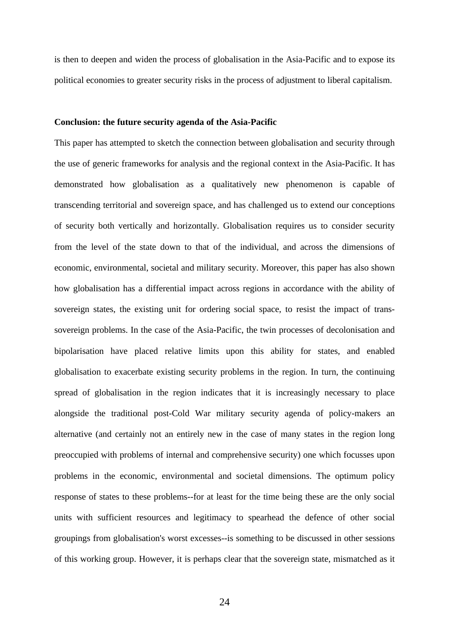is then to deepen and widen the process of globalisation in the Asia-Pacific and to expose its political economies to greater security risks in the process of adjustment to liberal capitalism.

#### **Conclusion: the future security agenda of the Asia-Pacific**

This paper has attempted to sketch the connection between globalisation and security through the use of generic frameworks for analysis and the regional context in the Asia-Pacific. It has demonstrated how globalisation as a qualitatively new phenomenon is capable of transcending territorial and sovereign space, and has challenged us to extend our conceptions of security both vertically and horizontally. Globalisation requires us to consider security from the level of the state down to that of the individual, and across the dimensions of economic, environmental, societal and military security. Moreover, this paper has also shown how globalisation has a differential impact across regions in accordance with the ability of sovereign states, the existing unit for ordering social space, to resist the impact of transsovereign problems. In the case of the Asia-Pacific, the twin processes of decolonisation and bipolarisation have placed relative limits upon this ability for states, and enabled globalisation to exacerbate existing security problems in the region. In turn, the continuing spread of globalisation in the region indicates that it is increasingly necessary to place alongside the traditional post-Cold War military security agenda of policy-makers an alternative (and certainly not an entirely new in the case of many states in the region long preoccupied with problems of internal and comprehensive security) one which focusses upon problems in the economic, environmental and societal dimensions. The optimum policy response of states to these problems--for at least for the time being these are the only social units with sufficient resources and legitimacy to spearhead the defence of other social groupings from globalisation's worst excesses--is something to be discussed in other sessions of this working group. However, it is perhaps clear that the sovereign state, mismatched as it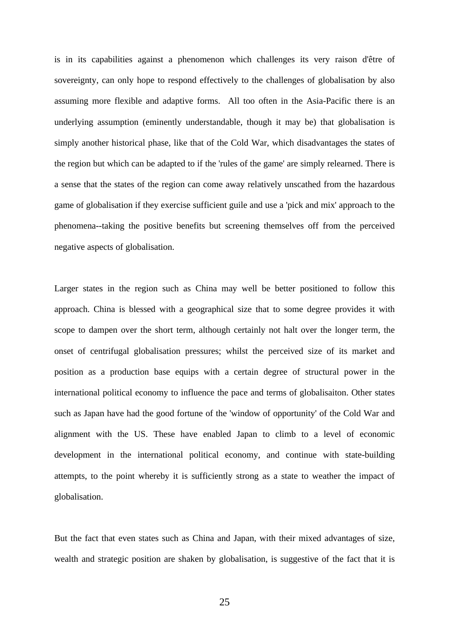is in its capabilities against a phenomenon which challenges its very raison d'être of sovereignty, can only hope to respond effectively to the challenges of globalisation by also assuming more flexible and adaptive forms. All too often in the Asia-Pacific there is an underlying assumption (eminently understandable, though it may be) that globalisation is simply another historical phase, like that of the Cold War, which disadvantages the states of the region but which can be adapted to if the 'rules of the game' are simply relearned. There is a sense that the states of the region can come away relatively unscathed from the hazardous game of globalisation if they exercise sufficient guile and use a 'pick and mix' approach to the phenomena--taking the positive benefits but screening themselves off from the perceived negative aspects of globalisation.

Larger states in the region such as China may well be better positioned to follow this approach. China is blessed with a geographical size that to some degree provides it with scope to dampen over the short term, although certainly not halt over the longer term, the onset of centrifugal globalisation pressures; whilst the perceived size of its market and position as a production base equips with a certain degree of structural power in the international political economy to influence the pace and terms of globalisaiton. Other states such as Japan have had the good fortune of the 'window of opportunity' of the Cold War and alignment with the US. These have enabled Japan to climb to a level of economic development in the international political economy, and continue with state-building attempts, to the point whereby it is sufficiently strong as a state to weather the impact of globalisation.

But the fact that even states such as China and Japan, with their mixed advantages of size, wealth and strategic position are shaken by globalisation, is suggestive of the fact that it is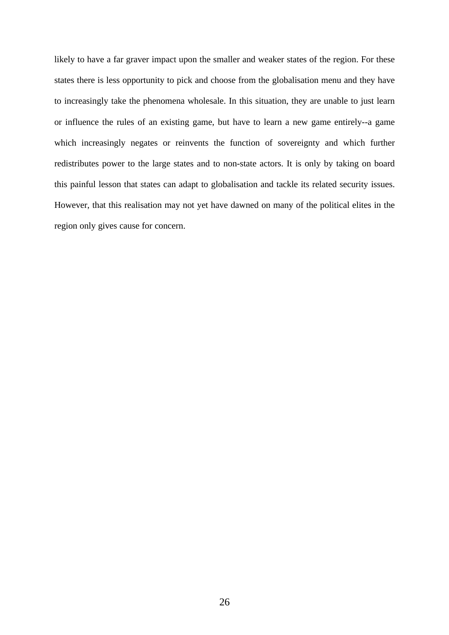likely to have a far graver impact upon the smaller and weaker states of the region. For these states there is less opportunity to pick and choose from the globalisation menu and they have to increasingly take the phenomena wholesale. In this situation, they are unable to just learn or influence the rules of an existing game, but have to learn a new game entirely--a game which increasingly negates or reinvents the function of sovereignty and which further redistributes power to the large states and to non-state actors. It is only by taking on board this painful lesson that states can adapt to globalisation and tackle its related security issues. However, that this realisation may not yet have dawned on many of the political elites in the region only gives cause for concern.